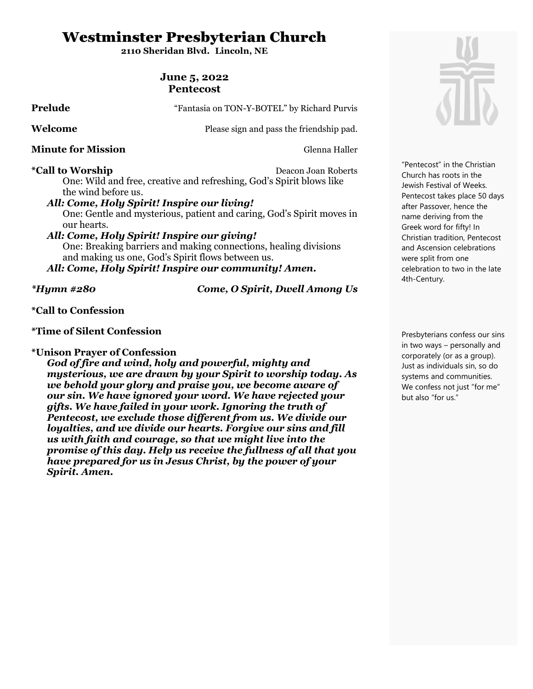# Westminster Presbyterian Church

**2110 Sheridan Blvd. Lincoln, NE**

### **June 5, 2022 Pentecost**

**Prelude** "Fantasia on TON-Y-BOTEL" by Richard Purvis **Welcome** Please sign and pass the friendship pad. **Minute for Mission** Glenna Haller **\*Call to Worship** Deacon Joan Roberts One: Wild and free, creative and refreshing, God's Spirit blows like the wind before us. *All: Come, Holy Spirit! Inspire our living!* One: Gentle and mysterious, patient and caring, God's Spirit moves in our hearts. *All: Come, Holy Spirit! Inspire our giving!*

One: Breaking barriers and making connections, healing divisions and making us one, God's Spirit flows between us.

*All: Come, Holy Spirit! Inspire our community! Amen.*

*\*Hymn #280 Come, O Spirit, Dwell Among Us*

**\*Call to Confession**

**\*Time of Silent Confession**

#### **\*Unison Prayer of Confession**

*God of fire and wind, holy and powerful, mighty and mysterious, we are drawn by your Spirit to worship today. As we behold your glory and praise you, we become aware of our sin. We have ignored your word. We have rejected your gifts. We have failed in your work. Ignoring the truth of Pentecost, we exclude those different from us. We divide our loyalties, and we divide our hearts. Forgive our sins and fill us with faith and courage, so that we might live into the promise of this day. Help us receive the fullness of all that you have prepared for us in Jesus Christ, by the power of your Spirit. Amen.*



"Pentecost" in the Christian Church has roots in the Jewish Festival of Weeks. Pentecost takes place 50 days after Passover, hence the name deriving from the Greek word for fifty! In Christian tradition, Pentecost and Ascension celebrations were split from one celebration to two in the late 4th-Century.

Presbyterians confess our sins in two ways – personally and corporately (or as a group). Just as individuals sin, so do systems and communities. We confess not just "for me" but also "for us."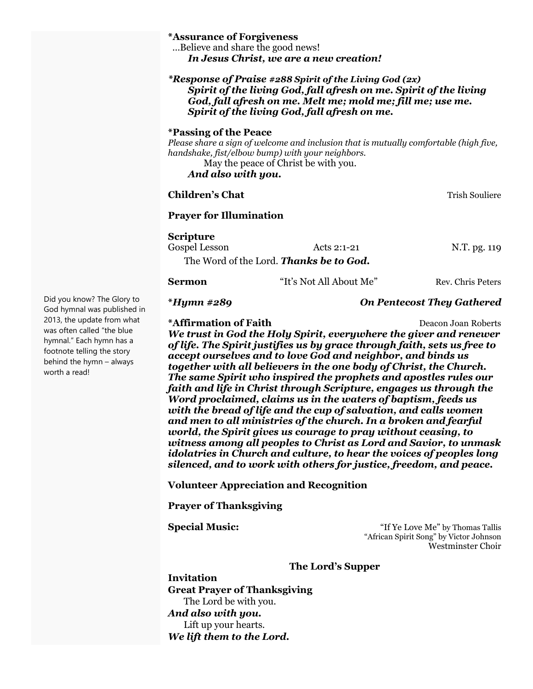| Believe and share the good news!                                                                                                                                                                                                               | In Jesus Christ, we are a new creation!                |                   |  |
|------------------------------------------------------------------------------------------------------------------------------------------------------------------------------------------------------------------------------------------------|--------------------------------------------------------|-------------------|--|
| *Response of Praise #288 Spirit of the Living God (2x)<br>Spirit of the living God, fall afresh on me. Spirit of the living<br>God, fall afresh on me. Melt me; mold me; fill me; use me.<br>Spirit of the living God, fall afresh on me.      |                                                        |                   |  |
| <i><b>*Passing of the Peace</b></i><br>Please share a sign of welcome and inclusion that is mutually comfortable (high five,<br>handshake, fist/elbow bump) with your neighbors.<br>May the peace of Christ be with you.<br>And also with you. |                                                        |                   |  |
| <b>Children's Chat</b>                                                                                                                                                                                                                         |                                                        | Trish Souliere    |  |
| <b>Prayer for Illumination</b>                                                                                                                                                                                                                 |                                                        |                   |  |
| <b>Scripture</b><br>Gospel Lesson                                                                                                                                                                                                              | Acts 2:1-21<br>The Word of the Lord. Thanks be to God. | N.T. pg. 119      |  |
| Sermon                                                                                                                                                                                                                                         | "It's Not All About Me"                                | Rev. Chris Peters |  |

#### **\****Hymn #289 On Pentecost They Gathered*

#### **\*Affirmation of Faith** Deacon Joan Roberts

**\*Assurance of Forgiveness**

*We trust in God the Holy Spirit, everywhere the giver and renewer of life. The Spirit justifies us by grace through faith, sets us free to accept ourselves and to love God and neighbor, and binds us together with all believers in the one body of Christ, the Church. The same Spirit who inspired the prophets and apostles rules our faith and life in Christ through Scripture, engages us through the Word proclaimed, claims us in the waters of baptism, feeds us with the bread of life and the cup of salvation, and calls women and men to all ministries of the church. In a broken and fearful world, the Spirit gives us courage to pray without ceasing, to witness among all peoples to Christ as Lord and Savior, to unmask idolatries in Church and culture, to hear the voices of peoples long silenced, and to work with others for justice, freedom, and peace.*

**Volunteer Appreciation and Recognition**

**Prayer of Thanksgiving**

**Special Music:**  $\qquad \qquad \text{``If Ye Love Me'' by Thomas Tallis''}$ "African Spirit Song" by Victor Johnson Westminster Choir

#### **The Lord's Supper**

**Invitation Great Prayer of Thanksgiving** The Lord be with you. *And also with you.* Lift up your hearts. *We lift them to the Lord.*

Did you know? The Glory to God hymnal was published in 2013, the update from what was often called "the blue hymnal." Each hymn has a footnote telling the story behind the hymn – always worth a read!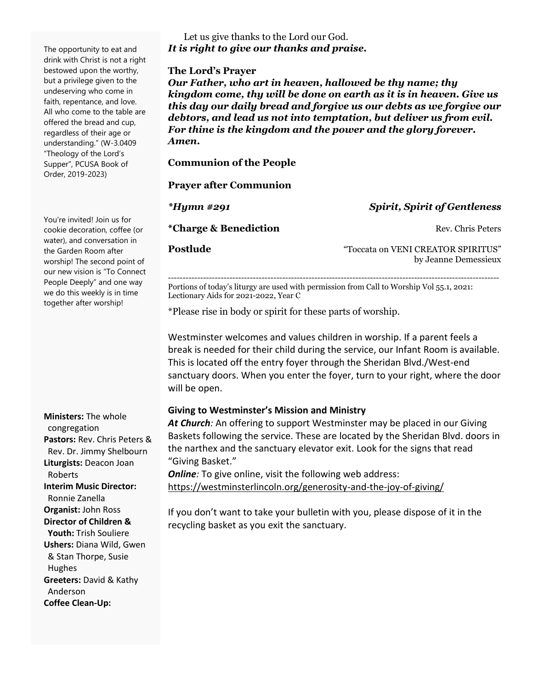The opportunity to eat and drink with Christ is not a right bestowed upon the worthy, but a privilege given to the undeserving who come in faith, repentance, and love. All who come to the table are offered the bread and cup, regardless of their age or understanding." (W-3.0409 "Theology of the Lord's Supper", PCUSA Book of Order, 2019-2023)

You're invited! Join us for cookie decoration, coffee (or water), and conversation in the Garden Room after worship! The second point of our new vision is "To Connect People Deeply" and one way we do this weekly is in time together after worship!

**Ministers:** The whole congregation **Pastors:** Rev. Chris Peters & Rev. Dr. Jimmy Shelbourn **Liturgists:** Deacon Joan Roberts **Interim Music Director:** Ronnie Zanella **Organist:** John Ross **Director of Children & Youth:** Trish Souliere **Ushers:** Diana Wild, Gwen & Stan Thorpe, Susie Hughes **Greeters:** David & Kathy Anderson **Coffee Clean-Up:**

Let us give thanks to the Lord our God. *It is right to give our thanks and praise.*

#### **The Lord's Prayer**

*Our Father, who art in heaven, hallowed be thy name; thy kingdom come, thy will be done on earth as it is in heaven. Give us this day our daily bread and forgive us our debts as we forgive our debtors, and lead us not into temptation, but deliver us from evil. For thine is the kingdom and the power and the glory forever. Amen.*

### **Communion of the People**

### **Prayer after Communion**

*\*Hymn #291 Spirit, Spirit of Gentleness*

**\*Charge & Benediction** Rev. Chris Peters

**Postlude** Toccata on VENI CREATOR SPIRITUS" by Jeanne Demessieux

----------------------------------------------------------------------------------------------------------------- Portions of today's liturgy are used with permission from Call to Worship Vol 55.1, 2021: Lectionary Aids for 2021-2022, Year C

\*Please rise in body or spirit for these parts of worship.

Westminster welcomes and values children in worship. If a parent feels a break is needed for their child during the service, our Infant Room is available. This is located off the entry foyer through the Sheridan Blvd./West-end sanctuary doors. When you enter the foyer, turn to your right, where the door will be open.

# **Giving to Westminster's Mission and Ministry**

*At Church:* An offering to support Westminster may be placed in our Giving Baskets following the service. These are located by the Sheridan Blvd. doors in the narthex and the sanctuary elevator exit. Look for the signs that read "Giving Basket."

*Online:* To give online, visit the following web address: <https://westminsterlincoln.org/generosity-and-the-joy-of-giving/>

If you don't want to take your bulletin with you, please dispose of it in the recycling basket as you exit the sanctuary.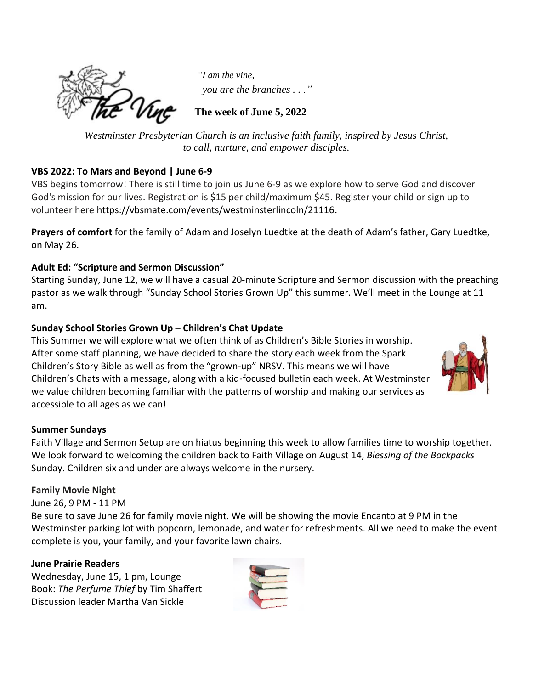

*"I am the vine, you are the branches . . ."*

**The week of June 5, 2022**

*Westminster Presbyterian Church is an inclusive faith family, inspired by Jesus Christ, to call, nurture, and empower disciples.*

# **VBS 2022: To Mars and Beyond | June 6-9**

VBS begins tomorrow! There is still time to join us June 6-9 as we explore how to serve God and discover God's mission for our lives. Registration is \$15 per child/maximum \$45. Register your child or sign up to volunteer here [https://vbsmate.com/events/westminsterlincoln/21116.](https://l.facebook.com/l.php?u=https%3A%2F%2Fvbsmate.com%2Fevents%2Fwestminsterlincoln%2F21116%3Ffbclid%3DIwAR2IeWvJlBfThxJOFr7xCzbjQwZcJGaojsLbOu7od1SVKqZ2n4LtScaR2gQ&h=AT2qvlEunUpkYb6_n4z8ePv0YfvAJ1tZzFpJZxkikNo92FxTHo0r6RtPnDCm5b99QUyKoFcksSI66nYl4LwKU1vB5iIFL_ERq1uqRBwb5wrlhMOefosEaK0fBDQ79Dx5C5Y_&__tn__=-UK-R&c%5b0%5d=AT1eLocyym6b6tOgans3RFiii-irxDwssXa_rP1Q_qE4JGWDDsskAOfvItoxyf9pMQVUD5swm7aGOAD9_VOQO_6RfpA44nyKJaKiLaSJhT1WRqAFs8vVlgczSfadsINTXqbSJARcgVz-_YW-dMPqcwmWOA-9XHmNHFu0PocM1XuaNoM-NvQmaKedH5LnhRHIOL9NXP-s3g49TBUmx9PvOyfTiHK0oyg)

**Prayers of comfort** for the family of Adam and Joselyn Luedtke at the death of Adam's father, Gary Luedtke, on May 26.

# **Adult Ed: "Scripture and Sermon Discussion"**

Starting Sunday, June 12, we will have a casual 20-minute Scripture and Sermon discussion with the preaching pastor as we walk through "Sunday School Stories Grown Up" this summer. We'll meet in the Lounge at 11 am.

# **Sunday School Stories Grown Up – Children's Chat Update**

This Summer we will explore what we often think of as Children's Bible Stories in worship. After some staff planning, we have decided to share the story each week from the Spark Children's Story Bible as well as from the "grown-up" NRSV. This means we will have Children's Chats with a message, along with a kid-focused bulletin each week. At Westminster we value children becoming familiar with the patterns of worship and making our services as accessible to all ages as we can!



### **Summer Sundays**

Faith Village and Sermon Setup are on hiatus beginning this week to allow families time to worship together. We look forward to welcoming the children back to Faith Village on August 14, *Blessing of the Backpacks* Sunday. Children six and under are always welcome in the nursery.

# **Family Movie Night**

June 26, 9 PM - 11 PM

Be sure to save June 26 for family movie night. We will be showing the movie Encanto at 9 PM in the Westminster parking lot with popcorn, lemonade, and water for refreshments. All we need to make the event complete is you, your family, and your favorite lawn chairs.

### **June Prairie Readers**

Wednesday, June 15, 1 pm, Lounge Book: *The Perfume Thief* by Tim Shaffert Discussion leader Martha Van Sickle

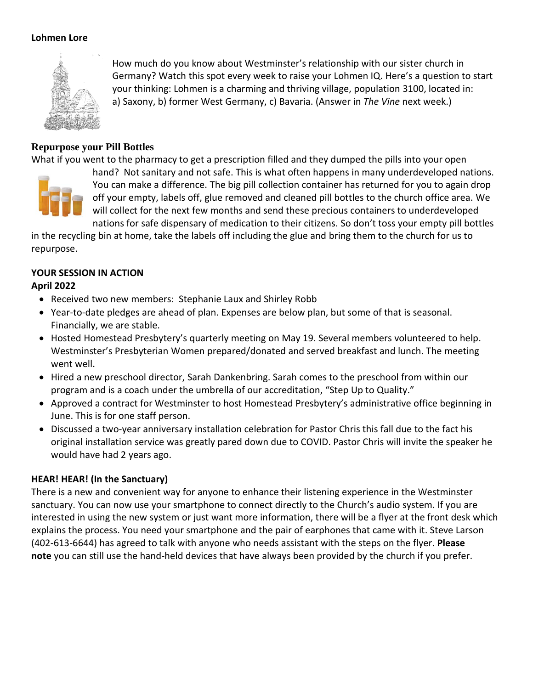### **Lohmen Lore**



How much do you know about Westminster's relationship with our sister church in Germany? Watch this spot every week to raise your Lohmen IQ. Here's a question to start your thinking: Lohmen is a charming and thriving village, population 3100, located in: a) Saxony, b) former West Germany, c) Bavaria. (Answer in *The Vine* next week.)

### **Repurpose your Pill Bottles**

What if you went to the pharmacy to get a prescription filled and they dumped the pills into your open



hand? Not sanitary and not safe. This is what often happens in many underdeveloped nations. You can make a difference. The big pill collection container has returned for you to again drop off your empty, labels off, glue removed and cleaned pill bottles to the church office area. We will collect for the next few months and send these precious containers to underdeveloped nations for safe dispensary of medication to their citizens. So don't toss your empty pill bottles

in the recycling bin at home, take the labels off including the glue and bring them to the church for us to repurpose.

# **YOUR SESSION IN ACTION**

### **April 2022**

- Received two new members: Stephanie Laux and Shirley Robb
- Year-to-date pledges are ahead of plan. Expenses are below plan, but some of that is seasonal. Financially, we are stable.
- Hosted Homestead Presbytery's quarterly meeting on May 19. Several members volunteered to help. Westminster's Presbyterian Women prepared/donated and served breakfast and lunch. The meeting went well.
- Hired a new preschool director, Sarah Dankenbring. Sarah comes to the preschool from within our program and is a coach under the umbrella of our accreditation, "Step Up to Quality."
- Approved a contract for Westminster to host Homestead Presbytery's administrative office beginning in June. This is for one staff person.
- Discussed a two-year anniversary installation celebration for Pastor Chris this fall due to the fact his original installation service was greatly pared down due to COVID. Pastor Chris will invite the speaker he would have had 2 years ago.

# **HEAR! HEAR! (In the Sanctuary)**

There is a new and convenient way for anyone to enhance their listening experience in the Westminster sanctuary. You can now use your smartphone to connect directly to the Church's audio system. If you are interested in using the new system or just want more information, there will be a flyer at the front desk which explains the process. You need your smartphone and the pair of earphones that came with it. Steve Larson (402-613-6644) has agreed to talk with anyone who needs assistant with the steps on the flyer. **Please note** you can still use the hand-held devices that have always been provided by the church if you prefer.